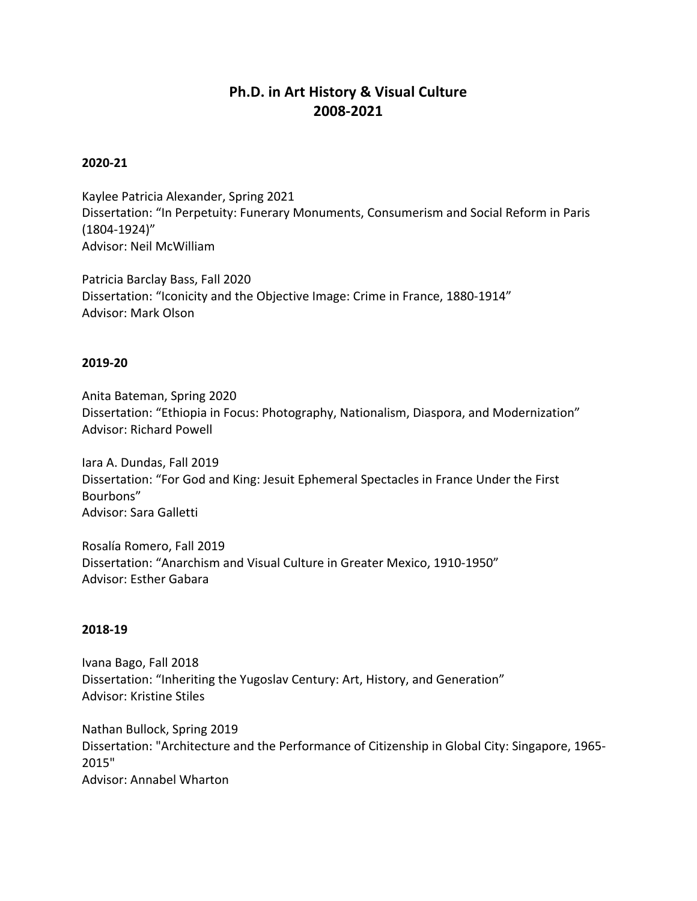# **Ph.D. in Art History & Visual Culture 2008-2021**

#### **2020-21**

Kaylee Patricia Alexander, Spring 2021 Dissertation: "In Perpetuity: Funerary Monuments, Consumerism and Social Reform in Paris (1804-1924)" Advisor: Neil McWilliam

Patricia Barclay Bass, Fall 2020 Dissertation: "Iconicity and the Objective Image: Crime in France, 1880-1914" Advisor: Mark Olson

#### **2019-20**

Anita Bateman, Spring 2020 Dissertation: "Ethiopia in Focus: Photography, Nationalism, Diaspora, and Modernization" Advisor: Richard Powell

Iara A. Dundas, Fall 2019 Dissertation: "For God and King: Jesuit Ephemeral Spectacles in France Under the First Bourbons" Advisor: Sara Galletti

Rosalía Romero, Fall 2019 Dissertation: "Anarchism and Visual Culture in Greater Mexico, 1910-1950" Advisor: Esther Gabara

#### **2018-19**

Ivana Bago, Fall 2018 Dissertation: "Inheriting the Yugoslav Century: Art, History, and Generation" Advisor: Kristine Stiles

Nathan Bullock, Spring 2019 Dissertation: "Architecture and the Performance of Citizenship in Global City: Singapore, 1965- 2015" Advisor: Annabel Wharton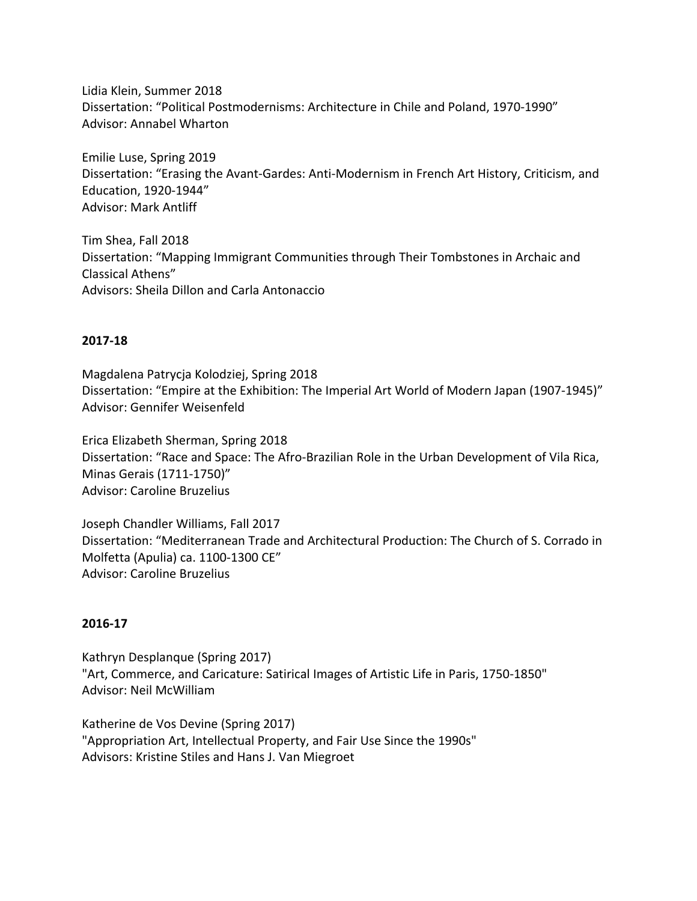Lidia Klein, Summer 2018 Dissertation: "Political Postmodernisms: Architecture in Chile and Poland, 1970-1990" Advisor: Annabel Wharton

Emilie Luse, Spring 2019 Dissertation: "Erasing the Avant-Gardes: Anti-Modernism in French Art History, Criticism, and Education, 1920-1944" Advisor: Mark Antliff

Tim Shea, Fall 2018 Dissertation: "Mapping Immigrant Communities through Their Tombstones in Archaic and Classical Athens" Advisors: Sheila Dillon and Carla Antonaccio

# **2017-18**

Magdalena Patrycja Kolodziej, Spring 2018 Dissertation: "Empire at the Exhibition: The Imperial Art World of Modern Japan (1907-1945)" Advisor: Gennifer Weisenfeld

Erica Elizabeth Sherman, Spring 2018 Dissertation: "Race and Space: The Afro-Brazilian Role in the Urban Development of Vila Rica, Minas Gerais (1711-1750)" Advisor: Caroline Bruzelius

Joseph Chandler Williams, Fall 2017 Dissertation: "Mediterranean Trade and Architectural Production: The Church of S. Corrado in Molfetta (Apulia) ca. 1100-1300 CE" Advisor: Caroline Bruzelius

# **2016-17**

Kathryn Desplanque (Spring 2017) "Art, Commerce, and Caricature: Satirical Images of Artistic Life in Paris, 1750-1850" Advisor: Neil McWilliam

Katherine de Vos Devine (Spring 2017) "Appropriation Art, Intellectual Property, and Fair Use Since the 1990s" Advisors: Kristine Stiles and Hans J. Van Miegroet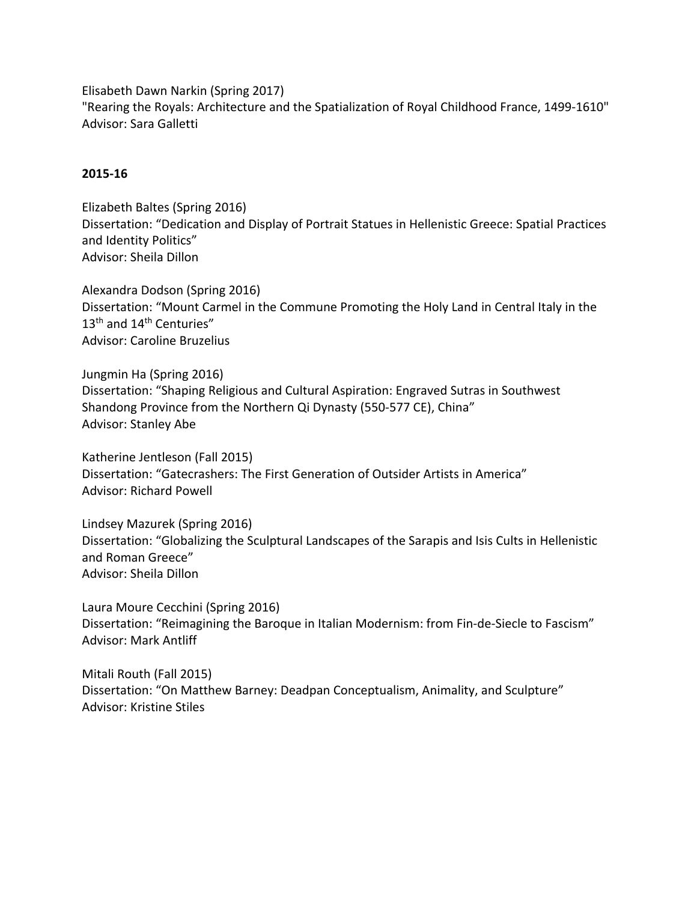Elisabeth Dawn Narkin (Spring 2017)

"Rearing the Royals: Architecture and the Spatialization of Royal Childhood France, 1499-1610" Advisor: Sara Galletti

# **2015-16**

Elizabeth Baltes (Spring 2016) Dissertation: "Dedication and Display of Portrait Statues in Hellenistic Greece: Spatial Practices and Identity Politics" Advisor: Sheila Dillon

Alexandra Dodson (Spring 2016) Dissertation: "Mount Carmel in the Commune Promoting the Holy Land in Central Italy in the 13<sup>th</sup> and 14<sup>th</sup> Centuries" Advisor: Caroline Bruzelius

Jungmin Ha (Spring 2016) Dissertation: "Shaping Religious and Cultural Aspiration: Engraved Sutras in Southwest Shandong Province from the Northern Qi Dynasty (550-577 CE), China" Advisor: Stanley Abe

Katherine Jentleson (Fall 2015) Dissertation: "Gatecrashers: The First Generation of Outsider Artists in America" Advisor: Richard Powell

Lindsey Mazurek (Spring 2016) Dissertation: "Globalizing the Sculptural Landscapes of the Sarapis and Isis Cults in Hellenistic and Roman Greece" Advisor: Sheila Dillon

Laura Moure Cecchini (Spring 2016) Dissertation: "Reimagining the Baroque in Italian Modernism: from Fin-de-Siecle to Fascism" Advisor: Mark Antliff

Mitali Routh (Fall 2015) Dissertation: "On Matthew Barney: Deadpan Conceptualism, Animality, and Sculpture" Advisor: Kristine Stiles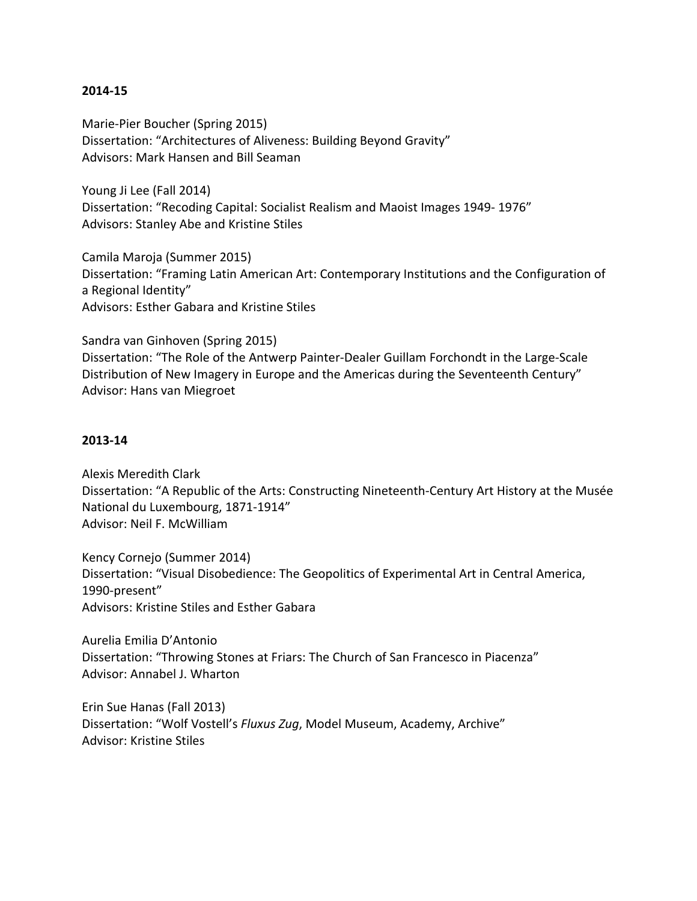#### **2014-15**

Marie-Pier Boucher (Spring 2015) Dissertation: "Architectures of Aliveness: Building Beyond Gravity" Advisors: Mark Hansen and Bill Seaman

Young Ji Lee (Fall 2014) Dissertation: "Recoding Capital: Socialist Realism and Maoist Images 1949- 1976" Advisors: Stanley Abe and Kristine Stiles

Camila Maroja (Summer 2015) Dissertation: "Framing Latin American Art: Contemporary Institutions and the Configuration of a Regional Identity" Advisors: Esther Gabara and Kristine Stiles

Sandra van Ginhoven (Spring 2015) Dissertation: "The Role of the Antwerp Painter-Dealer Guillam Forchondt in the Large-Scale Distribution of New Imagery in Europe and the Americas during the Seventeenth Century" Advisor: Hans van Miegroet

#### **2013-14**

Alexis Meredith Clark Dissertation: "A Republic of the Arts: Constructing Nineteenth-Century Art History at the Musée National du Luxembourg, 1871-1914" Advisor: Neil F. McWilliam

Kency Cornejo (Summer 2014) Dissertation: "Visual Disobedience: The Geopolitics of Experimental Art in Central America, 1990-present" Advisors: Kristine Stiles and Esther Gabara

Aurelia Emilia D'Antonio Dissertation: "Throwing Stones at Friars: The Church of San Francesco in Piacenza" Advisor: Annabel J. Wharton

Erin Sue Hanas (Fall 2013) Dissertation: "Wolf Vostell's *Fluxus Zug*, Model Museum, Academy, Archive" Advisor: Kristine Stiles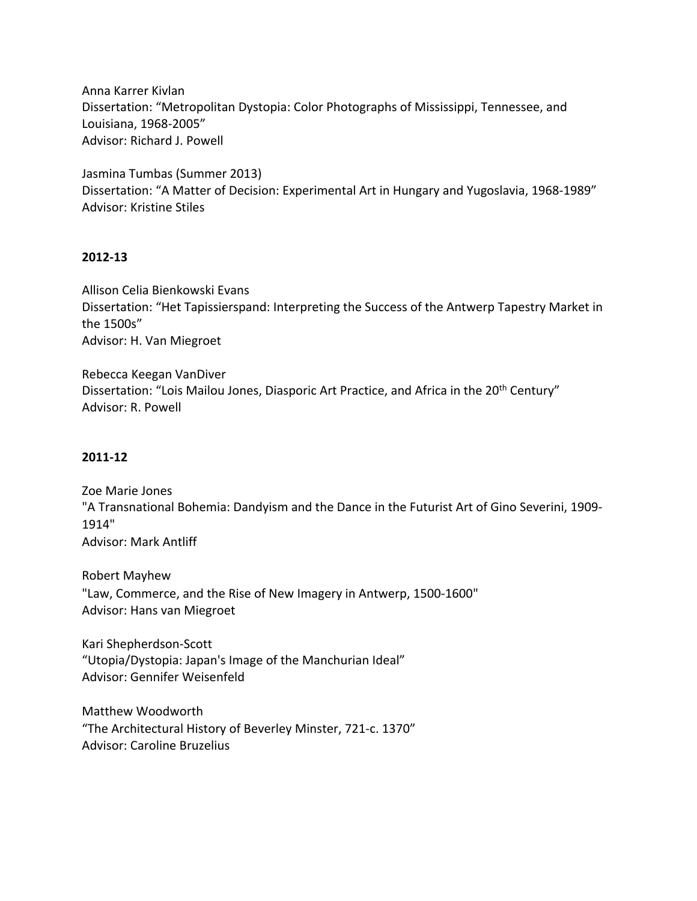Anna Karrer Kivlan Dissertation: "Metropolitan Dystopia: Color Photographs of Mississippi, Tennessee, and Louisiana, 1968-2005" Advisor: Richard J. Powell

Jasmina Tumbas (Summer 2013) Dissertation: "A Matter of Decision: Experimental Art in Hungary and Yugoslavia, 1968-1989" Advisor: Kristine Stiles

#### **2012-13**

Allison Celia Bienkowski Evans Dissertation: "Het Tapissierspand: Interpreting the Success of the Antwerp Tapestry Market in the 1500s" Advisor: H. Van Miegroet

Rebecca Keegan VanDiver Dissertation: "Lois Mailou Jones, Diasporic Art Practice, and Africa in the 20<sup>th</sup> Century" Advisor: R. Powell

# **2011-12**

Zoe Marie Jones "A Transnational Bohemia: Dandyism and the Dance in the Futurist Art of Gino Severini, 1909- 1914" Advisor: Mark Antliff

Robert Mayhew "Law, Commerce, and the Rise of New Imagery in Antwerp, 1500-1600" Advisor: Hans van Miegroet

Kari Shepherdson-Scott "Utopia/Dystopia: Japan's Image of the Manchurian Ideal" Advisor: Gennifer Weisenfeld

Matthew Woodworth "The Architectural History of Beverley Minster, 721-c. 1370" Advisor: Caroline Bruzelius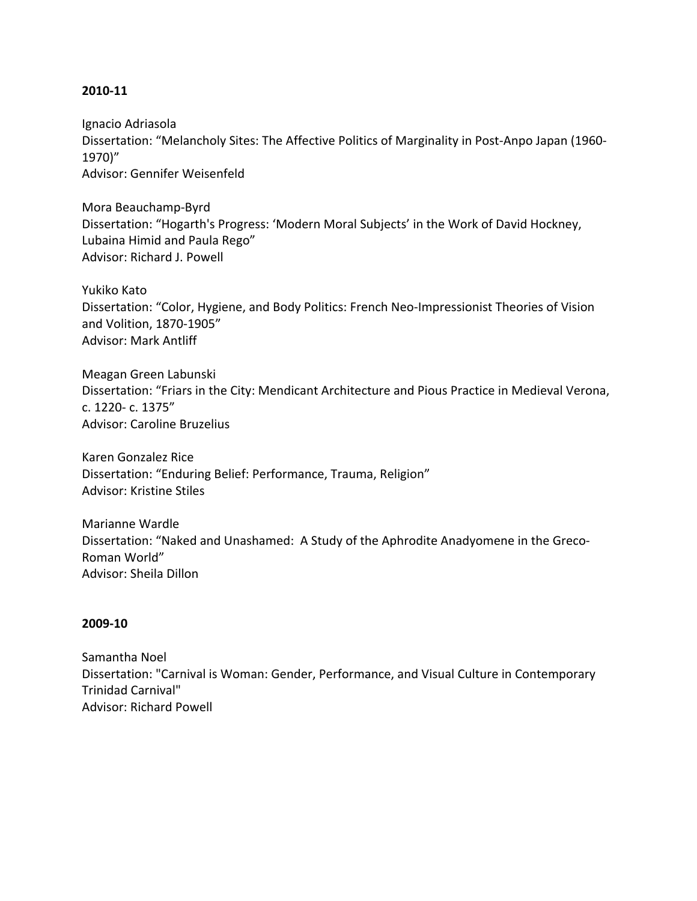#### **2010-11**

Ignacio Adriasola Dissertation: "Melancholy Sites: The Affective Politics of Marginality in Post-Anpo Japan (1960- 1970)" Advisor: Gennifer Weisenfeld

Mora Beauchamp-Byrd Dissertation: "Hogarth's Progress: 'Modern Moral Subjects' in the Work of David Hockney, Lubaina Himid and Paula Rego" Advisor: Richard J. Powell

Yukiko Kato Dissertation: "Color, Hygiene, and Body Politics: French Neo-Impressionist Theories of Vision and Volition, 1870-1905" Advisor: Mark Antliff

Meagan Green Labunski Dissertation: "Friars in the City: Mendicant Architecture and Pious Practice in Medieval Verona, c. 1220- c. 1375" Advisor: Caroline Bruzelius

Karen Gonzalez Rice Dissertation: "Enduring Belief: Performance, Trauma, Religion" Advisor: Kristine Stiles

Marianne Wardle Dissertation: "Naked and Unashamed: A Study of the Aphrodite Anadyomene in the Greco-Roman World" Advisor: Sheila Dillon

#### **2009-10**

Samantha Noel Dissertation: "Carnival is Woman: Gender, Performance, and Visual Culture in Contemporary Trinidad Carnival" Advisor: Richard Powell